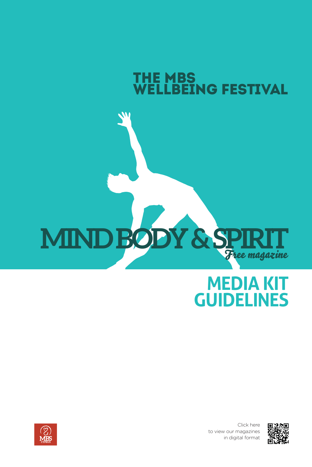## THE MBS<br>WELLBEING FESTIVAL



W

## **MEDIA KIT GUIDELINES**



Click here to view our magazines in digital format

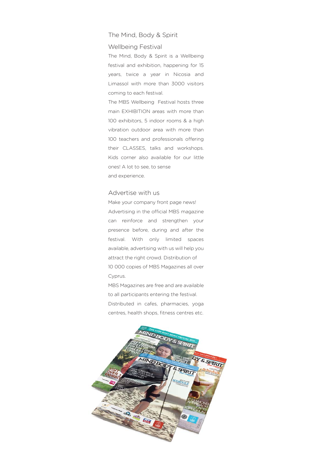## The Mind, Body & Spirit

## Wellbeing Festival

The Mind, Body & Spirit is a Wellbeing festival and exhibition, happening for 15 years, twice a year in Nicosia and Limassol with more than 3000 visitors coming to each festival.

The MBS Wellbeing Festival hosts three main EXHIBITION areas with more than 100 exhibitors, 5 indoor rooms & a high vibration outdoor area with more than 100 teachers and professionals offering their CLASSES, talks and workshops. Kids corner also available for our little ones! A lot to see, to sense and experience.

## Advertise with us

Make your company front page news! Advertising in the official MBS magazine can reinforce and strengthen your presence before, during and after the festival. With only limited spaces available, advertising with us will help you attract the right crowd. Distribution of 10 000 copies of MBS Magazines all over Cyprus.

MBS Magazines are free and are available to all participants entering the festival. Distributed in cafes, pharmacies, yoga centres, health shops, fitness centres etc.

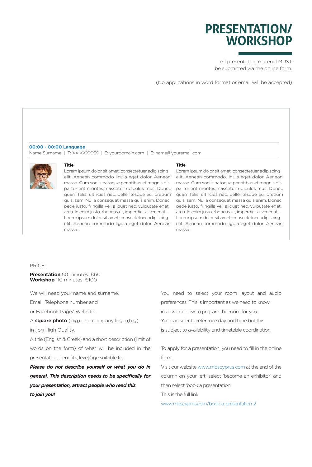## **PRESENTATION/ WORKSHOP**

All presentation material MUST be submitted via the online form.

(No applications in word format or email will be accepted)

#### **00:00 - 00:00 Language**

Name Surname | T: XX XXXXXX | E: yourdomain.com | E: name@youremail.com



## **Title**

**Title**

Lorem ipsum dolor sit amet, consectetuer adipiscing elit. Aenean commodo ligula eget dolor. Aenean massa. Cum sociis natoque penatibus et magnis dis parturient montes, nascetur ridiculus mus. Donec parturient montes, nascetur ridiculus mus. Donec quam felis, ultricies nec, pellentesque eu, pretium quam felis, ultricies nec, pellentesque eu, pretium quis, sem. Nulla consequat massa quis enim. Donec quis, sem. Nulla consequat massa quis enim. Donec pede justo, fringilla vel, aliquet nec, vulputate eget, arcu. In enim justo, rhoncus ut, imperdiet a, venenati-Lorem ipsum dolor sit amet, consectetuer adipiscing elit. Aenean commodo ligula eget dolor. Aenean massa.

Lorem ipsum dolor sit amet, consectetuer adipiscing elit. Aenean commodo ligula eget dolor. Aenean massa. Cum sociis natoque penatibus et magnis dis pede justo, fringilla vel, aliquet nec, vulputate eget, arcu. In enim justo, rhoncus ut, imperdiet a, venenati-Lorem ipsum dolor sit amet, consectetuer adipiscing elit. Aenean commodo ligula eget dolor. Aenean massa.

#### PRICE:

**Presentation** 50 minutes: €60 **Workshop** 110 minutes: €100

We will need your name and surname,

Email, Telephone number and

or Facebook Page/ Website.

A **square photo** (big) or a company logo (big)

in .jpg High Quality.

A title (English & Greek) and a short description (limit of words on the form) of what will be included in the presentation, benefits, level/age suitable for.

*Please do not describe yourself or what you do in general. This description needs to be specifically for your presentation, attract people who read this to join you!* 

You need to select your room layout and audio preferences. This is important as we need to know in advance how to prepare the room for you. You can select preference day and time but this is subject to availability and timetable coordination.

To apply for a presentation, you need to fill in the online form.

Visit our website www.mbscyprus.com at the end of the column on your left, select 'become an exhibitor' and then select 'book a presentation' This is the full link:

www.mbscyprus.com/book-a-presentation-2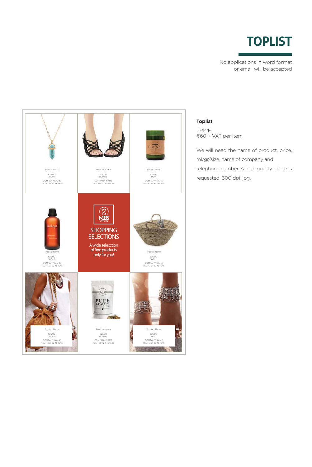

No applications in word format or email will be accepted



## **Toplist**

PRICE: €60 + VAT per item

We will need the name of product, price, ml/gr/size, name of company and telephone number. A high quality photo is requested: 300 dpi .jpg.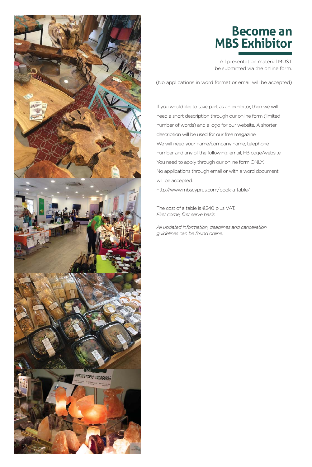

## **Become an MBS Exhibitor**

All presentation material MUST be submitted via the online form.

(No applications in word format or email will be accepted)

If you would like to take part as an exhibitor, then we will need a short description through our online form (limited number of words) and a logo for our website. A shorter description will be used for our free magazine. We will need your name/company name, telephone number and any of the following: email, FB page/website. You need to apply through our online form ONLY. No applications through email or with a word document will be accepted. http://www.mbscyprus.com/book-a-table/

The cost of a table is €240 plus VAT. *First come, first serve basis*

*All updated information, deadlines and cancellation guidelines can be found online.*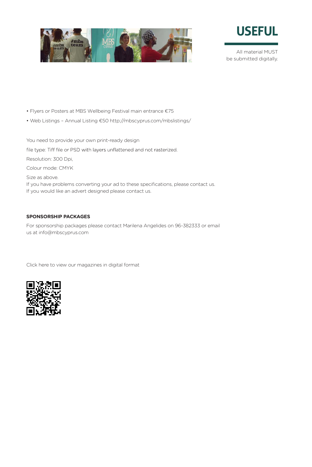



All material MUST be submitted digitally.

- Flyers or Posters at MBS Wellbeing Festival main entrance €75
- Web Listings Annual Listing €50 http://mbscyprus.com/mbslistings/

You need to provide your own print-ready design file type: Tiff file or PSD with layers unflattened and not rasterized. Resolution: 300 Dpi, Colour mode: CMYK Size as above. If you have problems converting your ad to these specifications, please contact us. If you would like an advert designed please contact us.

## **SPONSORSHIP PACKAGES**

For sponsorship packages please contact Marilena Angelides on 96-382333 or email us at info@mbscyprus.com

Click here to view our magazines in digital format

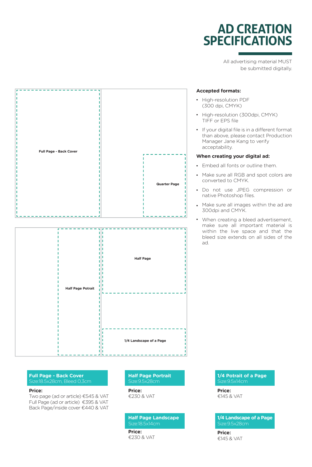## **AD CREATION SPECIFICATIONS**

All advertising material MUST be submitted digitally.

### **Accepted formats:**

- High-resolution PDF (300 dpi, CMYK)
- High-resolution (300dpi, CMYK) TIFF or EPS file
- If your digital file is in a different format than above, please contact Production Manager Jane Kang to verify acceptability.

#### **When creating your digital ad:**

- Embed all fonts or outline them.
- Make sure all RGB and spot colors are converted to CMYK.
- Do not use JPEG compression or native Photoshop files.
- Make sure all images within the ad are 300dpi and CMYK.
- When creating a bleed advertisement, make sure all important material is within the live space and that the bleed size extends on all sides of the ad.



**Price:** €145 & VAT

**1/4 Landscape of a Page**

**Price:** €145 & VAT

# **Full Page - Back Cover Quarter Page** -------------------------------**Half Page Half Page Potrait 1/4 Landscape of a Page** -------------

#### **Full Page - Back Cover** Size:18.5x28cm, Bleed 0,3cm

#### **Price:**

Two page (ad or article) €545 & VAT Full Page (ad or article) €395 & VAT Back Page/inside cover €440 & VAT **Half Page Portrait**  $Size:9.5$ 

**Price:** €230 & VAT

**Half Page Landscape**

**Price:** €230 & VAT